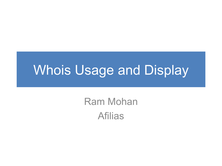### **Whois Usage and Display**

**Ram Mohan Afilias**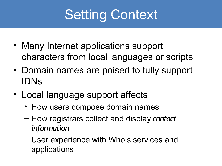# Setting Context

- Many Internet applications support characters from local languages or scripts
- Domain names are poised to fully support IDNs
- Local language support affects
	- How users compose domain names
	- How registrars collect and display *contact information*
	- User experience with Whois services and applications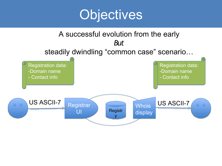

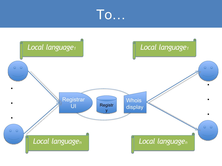

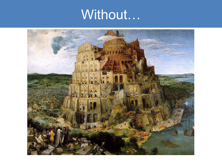## Without...

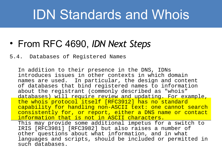### IDN Standards and Whois

### • From RFC 4690, *IDN Next Steps*

#### 5.4. Databases of Registered Names

In addition to their presence in the DNS, IDNs introduces issues in other contexts in which domain names are used. In particular, the design and content of databases that bind registered names to information about the registrant (commonly described as "whois" databases) will require review and updating. For example, the whois protocol itself [RFC3912] has no standard capability for handling non-ASCII text: one cannot search consistently for, or report, either a DNS name or contact information that is not in ASCII characters. This may provide some additional impetus for a switch to IRIS [RFC3981] [RFC3982] but also raises a number of other questions about what information, and in what languages and scripts, should be included or permitted in such databases.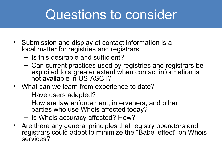### Questions to consider

- Submission and display of contact information is a local matter for registries and registrars
	- Is this desirable and sufficient?
	- Can current practices used by registries and registrars be exploited to a greater extent when contact information is not available in US-ASCII?
- What can we learn from experience to date?
	- Have users adapted?
	- How are law enforcement, interveners, and other parties who use Whois affected today?
	- Is Whois accuracy affected? How?
- Are there any general principles that registry operators and registrars could adopt to minimize the "Babel effect" on Whois services?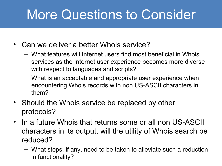## More Questions to Consider

- Can we deliver a better Whois service?
	- What features will Internet users find most beneficial in Whois services as the Internet user experience becomes more diverse with respect to languages and scripts?
	- What is an acceptable and appropriate user experience when encountering Whois records with non US-ASCII characters in them?
- Should the Whois service be replaced by other protocols?
- In a future Whois that returns some or all non US-ASCII characters in its output, will the utility of Whois search be reduced?
	- What steps, if any, need to be taken to alleviate such a reduction in functionality?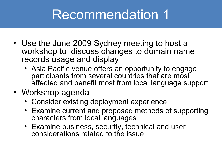### Recommendation 1

- Use the June 2009 Sydney meeting to host a workshop to discuss changes to domain name records usage and display
	- Asia Pacific venue offers an opportunity to engage participants from several countries that are most affected and benefit most from local language support
- Workshop agenda
	- Consider existing deployment experience
	- Examine current and proposed methods of supporting characters from local languages
	- Examine business, security, technical and user considerations related to the issue